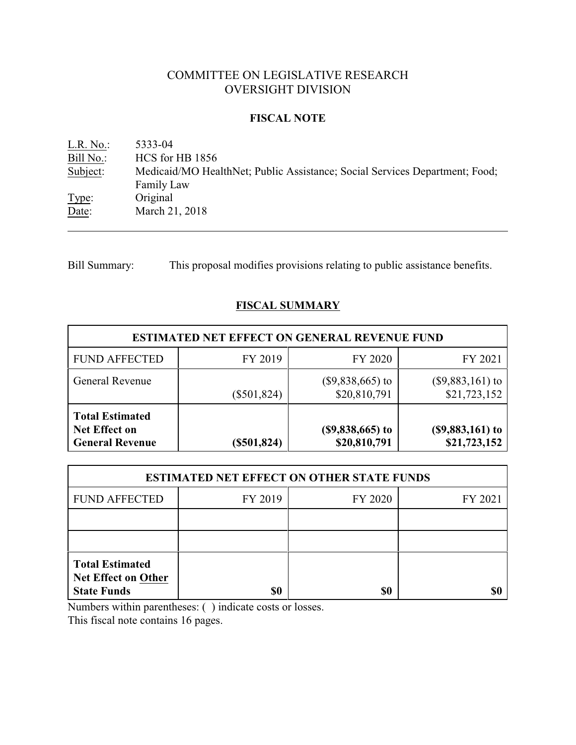# COMMITTEE ON LEGISLATIVE RESEARCH OVERSIGHT DIVISION

#### **FISCAL NOTE**

<u>L.R. No.</u>: 5333-04<br>
<u>Bill No.</u>: HCS for HCS for HB 1856 Subject: Medicaid/MO HealthNet; Public Assistance; Social Services Department; Food; Family Law Type: Original Date: March 21, 2018

Bill Summary: This proposal modifies provisions relating to public assistance benefits.

## **FISCAL SUMMARY**

| <b>ESTIMATED NET EFFECT ON GENERAL REVENUE FUND</b>                      |               |                                   |                                    |  |
|--------------------------------------------------------------------------|---------------|-----------------------------------|------------------------------------|--|
| <b>FUND AFFECTED</b>                                                     | FY 2019       | FY 2020                           | FY 2021                            |  |
| <b>General Revenue</b>                                                   | $(\$501,824)$ | $($9,838,665)$ to<br>\$20,810,791 | $(\$9,883,161)$ to<br>\$21,723,152 |  |
| <b>Total Estimated</b><br><b>Net Effect on</b><br><b>General Revenue</b> | $(\$501,824)$ | $($9,838,665)$ to<br>\$20,810,791 | $($9,883,161)$ to<br>\$21,723,152  |  |

| <b>ESTIMATED NET EFFECT ON OTHER STATE FUNDS</b>                           |         |         |         |  |
|----------------------------------------------------------------------------|---------|---------|---------|--|
| <b>FUND AFFECTED</b>                                                       | FY 2019 | FY 2020 | FY 2021 |  |
|                                                                            |         |         |         |  |
|                                                                            |         |         |         |  |
| <b>Total Estimated</b><br><b>Net Effect on Other</b><br><b>State Funds</b> | \$0     | \$0     |         |  |

Numbers within parentheses: ( ) indicate costs or losses.

This fiscal note contains 16 pages.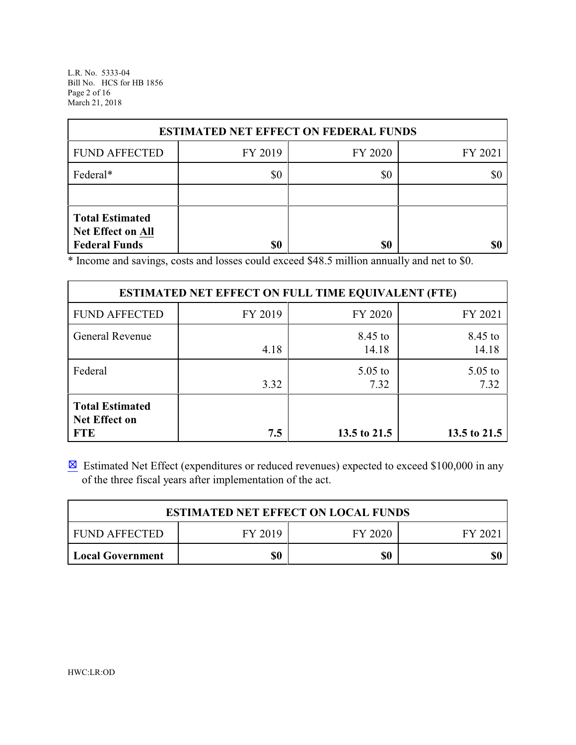L.R. No. 5333-04 Bill No. HCS for HB 1856 Page 2 of 16 March 21, 2018

| <b>ESTIMATED NET EFFECT ON FEDERAL FUNDS</b>                        |         |         |         |  |
|---------------------------------------------------------------------|---------|---------|---------|--|
| <b>FUND AFFECTED</b>                                                | FY 2019 | FY 2020 | FY 2021 |  |
| Federal*                                                            | \$0     | \$0     |         |  |
|                                                                     |         |         |         |  |
| <b>Total Estimated</b><br>Net Effect on All<br><b>Federal Funds</b> | \$0     | \$0     | \$0     |  |

\* Income and savings, costs and losses could exceed \$48.5 million annually and net to \$0.

| <b>ESTIMATED NET EFFECT ON FULL TIME EQUIVALENT (FTE)</b>    |         |                   |                   |  |
|--------------------------------------------------------------|---------|-------------------|-------------------|--|
| <b>FUND AFFECTED</b>                                         | FY 2019 | FY 2020           | FY 2021           |  |
| <b>General Revenue</b>                                       | 4.18    | 8.45 to<br>14.18  | 8.45 to<br>14.18  |  |
| Federal                                                      | 3.32    | $5.05$ to<br>7.32 | $5.05$ to<br>7.32 |  |
| <b>Total Estimated</b><br><b>Net Effect on</b><br><b>FTE</b> | 7.5     | 13.5 to 21.5      | 13.5 to 21.5      |  |

 $\boxtimes$  Estimated Net Effect (expenditures or reduced revenues) expected to exceed \$100,000 in any of the three fiscal years after implementation of the act.

| <b>ESTIMATED NET EFFECT ON LOCAL FUNDS</b> |         |         |        |  |
|--------------------------------------------|---------|---------|--------|--|
| FUND AFFECTED                              | FY 2019 | FY 2020 | FY 202 |  |
| <b>Local Government</b>                    | \$0     | \$0     | \$0    |  |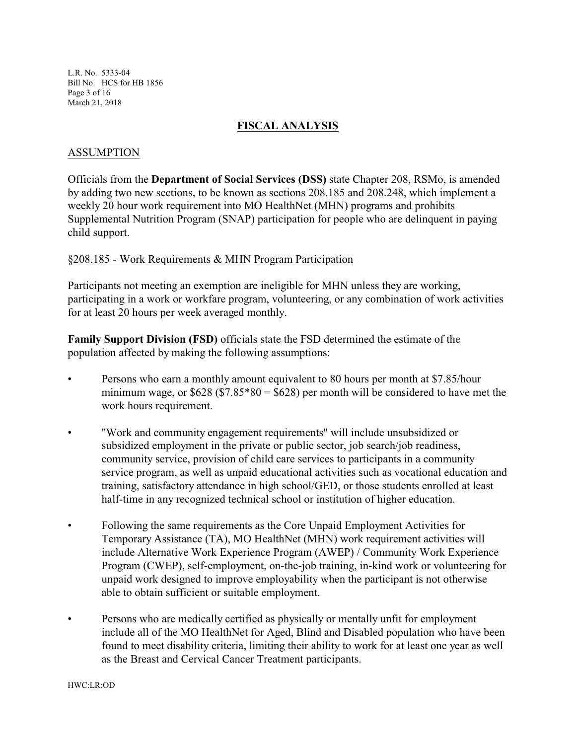L.R. No. 5333-04 Bill No. HCS for HB 1856 Page 3 of 16 March 21, 2018

#### **FISCAL ANALYSIS**

#### ASSUMPTION

Officials from the **Department of Social Services (DSS)** state Chapter 208, RSMo, is amended by adding two new sections, to be known as sections 208.185 and 208.248, which implement a weekly 20 hour work requirement into MO HealthNet (MHN) programs and prohibits Supplemental Nutrition Program (SNAP) participation for people who are delinquent in paying child support.

#### §208.185 - Work Requirements & MHN Program Participation

Participants not meeting an exemption are ineligible for MHN unless they are working, participating in a work or workfare program, volunteering, or any combination of work activities for at least 20 hours per week averaged monthly.

**Family Support Division (FSD)** officials state the FSD determined the estimate of the population affected by making the following assumptions:

- Persons who earn a monthly amount equivalent to 80 hours per month at \$7.85/hour minimum wage, or  $$628 ($7.85*80 = $628)$  per month will be considered to have met the work hours requirement.
- "Work and community engagement requirements" will include unsubsidized or subsidized employment in the private or public sector, job search/job readiness, community service, provision of child care services to participants in a community service program, as well as unpaid educational activities such as vocational education and training, satisfactory attendance in high school/GED, or those students enrolled at least half-time in any recognized technical school or institution of higher education.
- Following the same requirements as the Core Unpaid Employment Activities for Temporary Assistance (TA), MO HealthNet (MHN) work requirement activities will include Alternative Work Experience Program (AWEP) / Community Work Experience Program (CWEP), self-employment, on-the-job training, in-kind work or volunteering for unpaid work designed to improve employability when the participant is not otherwise able to obtain sufficient or suitable employment.
- Persons who are medically certified as physically or mentally unfit for employment include all of the MO HealthNet for Aged, Blind and Disabled population who have been found to meet disability criteria, limiting their ability to work for at least one year as well as the Breast and Cervical Cancer Treatment participants.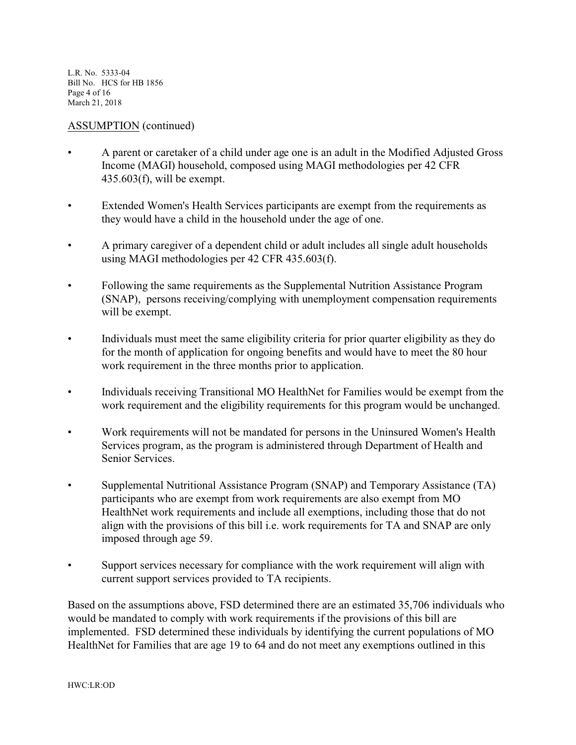L.R. No. 5333-04 Bill No. HCS for HB 1856 Page 4 of 16 March 21, 2018

#### ASSUMPTION (continued)

- A parent or caretaker of a child under age one is an adult in the Modified Adjusted Gross Income (MAGI) household, composed using MAGI methodologies per 42 CFR 435.603(f), will be exempt.
- Extended Women's Health Services participants are exempt from the requirements as they would have a child in the household under the age of one.
- A primary caregiver of a dependent child or adult includes all single adult households using MAGI methodologies per 42 CFR 435.603(f).
- Following the same requirements as the Supplemental Nutrition Assistance Program (SNAP), persons receiving/complying with unemployment compensation requirements will be exempt.
- Individuals must meet the same eligibility criteria for prior quarter eligibility as they do for the month of application for ongoing benefits and would have to meet the 80 hour work requirement in the three months prior to application.
- Individuals receiving Transitional MO HealthNet for Families would be exempt from the work requirement and the eligibility requirements for this program would be unchanged.
- Work requirements will not be mandated for persons in the Uninsured Women's Health Services program, as the program is administered through Department of Health and Senior Services.
- Supplemental Nutritional Assistance Program (SNAP) and Temporary Assistance (TA) participants who are exempt from work requirements are also exempt from MO HealthNet work requirements and include all exemptions, including those that do not align with the provisions of this bill i.e. work requirements for TA and SNAP are only imposed through age 59.
- Support services necessary for compliance with the work requirement will align with current support services provided to TA recipients.

Based on the assumptions above, FSD determined there are an estimated 35,706 individuals who would be mandated to comply with work requirements if the provisions of this bill are implemented. FSD determined these individuals by identifying the current populations of MO HealthNet for Families that are age 19 to 64 and do not meet any exemptions outlined in this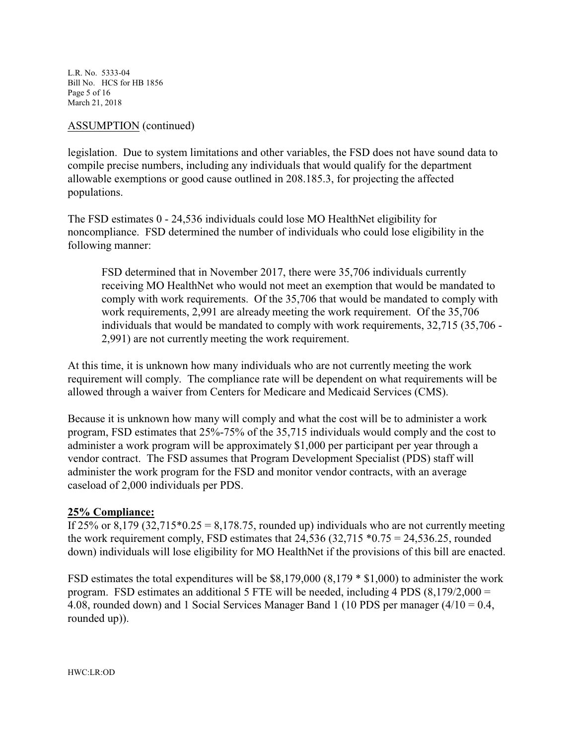L.R. No. 5333-04 Bill No. HCS for HB 1856 Page 5 of 16 March 21, 2018

#### ASSUMPTION (continued)

legislation. Due to system limitations and other variables, the FSD does not have sound data to compile precise numbers, including any individuals that would qualify for the department allowable exemptions or good cause outlined in 208.185.3, for projecting the affected populations.

The FSD estimates 0 - 24,536 individuals could lose MO HealthNet eligibility for noncompliance. FSD determined the number of individuals who could lose eligibility in the following manner:

FSD determined that in November 2017, there were 35,706 individuals currently receiving MO HealthNet who would not meet an exemption that would be mandated to comply with work requirements. Of the 35,706 that would be mandated to comply with work requirements, 2,991 are already meeting the work requirement. Of the 35,706 individuals that would be mandated to comply with work requirements, 32,715 (35,706 - 2,991) are not currently meeting the work requirement.

At this time, it is unknown how many individuals who are not currently meeting the work requirement will comply. The compliance rate will be dependent on what requirements will be allowed through a waiver from Centers for Medicare and Medicaid Services (CMS).

Because it is unknown how many will comply and what the cost will be to administer a work program, FSD estimates that 25%-75% of the 35,715 individuals would comply and the cost to administer a work program will be approximately \$1,000 per participant per year through a vendor contract. The FSD assumes that Program Development Specialist (PDS) staff will administer the work program for the FSD and monitor vendor contracts, with an average caseload of 2,000 individuals per PDS.

#### **25% Compliance:**

If 25% or 8,179 (32,715 $*0.25 = 8,178.75$ , rounded up) individuals who are not currently meeting the work requirement comply, FSD estimates that  $24,536$  (32,715  $*0.75 = 24,536.25$ , rounded down) individuals will lose eligibility for MO HealthNet if the provisions of this bill are enacted.

FSD estimates the total expenditures will be \$8,179,000 (8,179 \* \$1,000) to administer the work program. FSD estimates an additional 5 FTE will be needed, including 4 PDS (8,179/2,000 = 4.08, rounded down) and 1 Social Services Manager Band 1 (10 PDS per manager (4/10 = 0.4, rounded up)).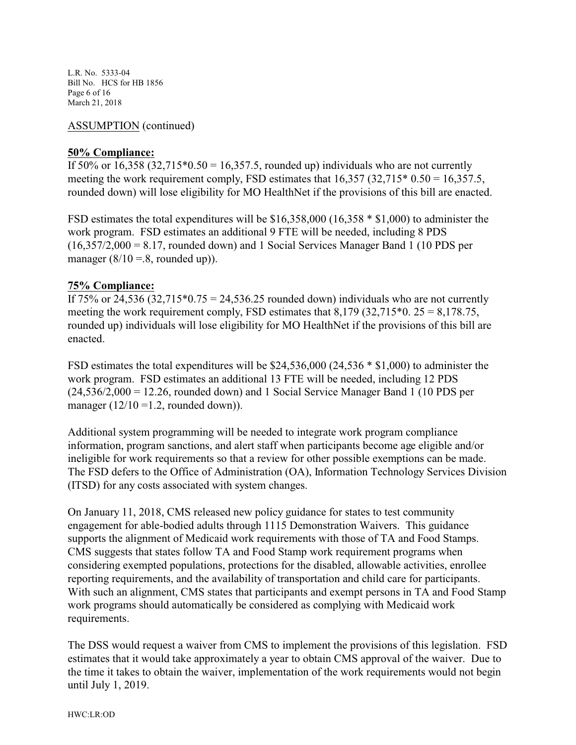L.R. No. 5333-04 Bill No. HCS for HB 1856 Page 6 of 16 March 21, 2018

#### ASSUMPTION (continued)

#### **50% Compliance:**

If 50% or 16,358 (32,715 $*0.50 = 16,357.5$ , rounded up) individuals who are not currently meeting the work requirement comply, FSD estimates that  $16,357$   $(32,715*0.50 = 16,357.5,$ rounded down) will lose eligibility for MO HealthNet if the provisions of this bill are enacted.

FSD estimates the total expenditures will be \$16,358,000 (16,358 \* \$1,000) to administer the work program. FSD estimates an additional 9 FTE will be needed, including 8 PDS  $(16,357/2,000 = 8.17$ , rounded down) and 1 Social Services Manager Band 1 (10 PDS per manager  $(8/10 = .8$ , rounded up)).

#### **75% Compliance:**

If 75% or 24,536  $(32,715*0.75 = 24,536.25$  rounded down) individuals who are not currently meeting the work requirement comply, FSD estimates that  $8,179$  (32,715 $*$ 0. 25 = 8,178.75, rounded up) individuals will lose eligibility for MO HealthNet if the provisions of this bill are enacted.

FSD estimates the total expenditures will be \$24,536,000 (24,536 \* \$1,000) to administer the work program. FSD estimates an additional 13 FTE will be needed, including 12 PDS  $(24,536/2,000 = 12.26$ , rounded down) and 1 Social Service Manager Band 1 (10 PDS per manager  $(12/10 = 1.2$ , rounded down)).

Additional system programming will be needed to integrate work program compliance information, program sanctions, and alert staff when participants become age eligible and/or ineligible for work requirements so that a review for other possible exemptions can be made. The FSD defers to the Office of Administration (OA), Information Technology Services Division (ITSD) for any costs associated with system changes.

On January 11, 2018, CMS released new policy guidance for states to test community engagement for able-bodied adults through 1115 Demonstration Waivers. This guidance supports the alignment of Medicaid work requirements with those of TA and Food Stamps. CMS suggests that states follow TA and Food Stamp work requirement programs when considering exempted populations, protections for the disabled, allowable activities, enrollee reporting requirements, and the availability of transportation and child care for participants. With such an alignment, CMS states that participants and exempt persons in TA and Food Stamp work programs should automatically be considered as complying with Medicaid work requirements.

The DSS would request a waiver from CMS to implement the provisions of this legislation. FSD estimates that it would take approximately a year to obtain CMS approval of the waiver. Due to the time it takes to obtain the waiver, implementation of the work requirements would not begin until July 1, 2019.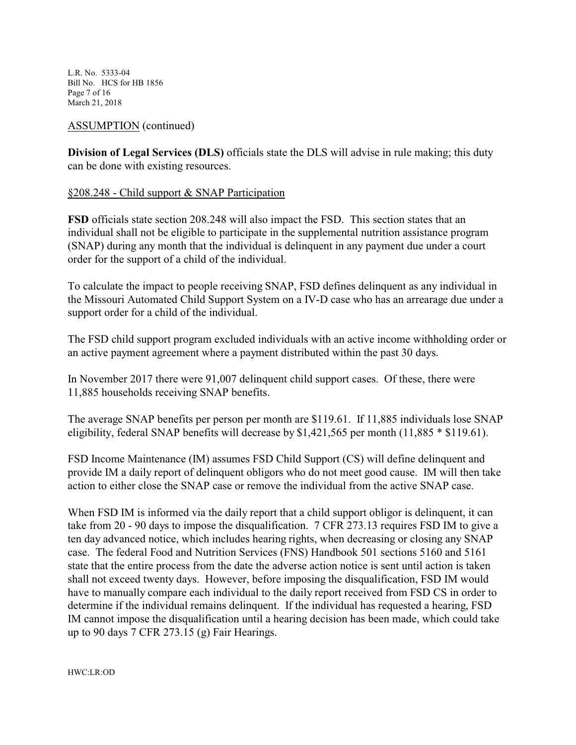L.R. No. 5333-04 Bill No. HCS for HB 1856 Page 7 of 16 March 21, 2018

#### ASSUMPTION (continued)

**Division of Legal Services (DLS)** officials state the DLS will advise in rule making; this duty can be done with existing resources.

#### §208.248 - Child support & SNAP Participation

**FSD** officials state section 208.248 will also impact the FSD. This section states that an individual shall not be eligible to participate in the supplemental nutrition assistance program (SNAP) during any month that the individual is delinquent in any payment due under a court order for the support of a child of the individual.

To calculate the impact to people receiving SNAP, FSD defines delinquent as any individual in the Missouri Automated Child Support System on a IV-D case who has an arrearage due under a support order for a child of the individual.

The FSD child support program excluded individuals with an active income withholding order or an active payment agreement where a payment distributed within the past 30 days.

In November 2017 there were 91,007 delinquent child support cases. Of these, there were 11,885 households receiving SNAP benefits.

The average SNAP benefits per person per month are \$119.61. If 11,885 individuals lose SNAP eligibility, federal SNAP benefits will decrease by \$1,421,565 per month (11,885 \* \$119.61).

FSD Income Maintenance (IM) assumes FSD Child Support (CS) will define delinquent and provide IM a daily report of delinquent obligors who do not meet good cause. IM will then take action to either close the SNAP case or remove the individual from the active SNAP case.

When FSD IM is informed via the daily report that a child support obligor is delinquent, it can take from 20 - 90 days to impose the disqualification. 7 CFR 273.13 requires FSD IM to give a ten day advanced notice, which includes hearing rights, when decreasing or closing any SNAP case. The federal Food and Nutrition Services (FNS) Handbook 501 sections 5160 and 5161 state that the entire process from the date the adverse action notice is sent until action is taken shall not exceed twenty days. However, before imposing the disqualification, FSD IM would have to manually compare each individual to the daily report received from FSD CS in order to determine if the individual remains delinquent. If the individual has requested a hearing, FSD IM cannot impose the disqualification until a hearing decision has been made, which could take up to 90 days 7 CFR 273.15 (g) Fair Hearings.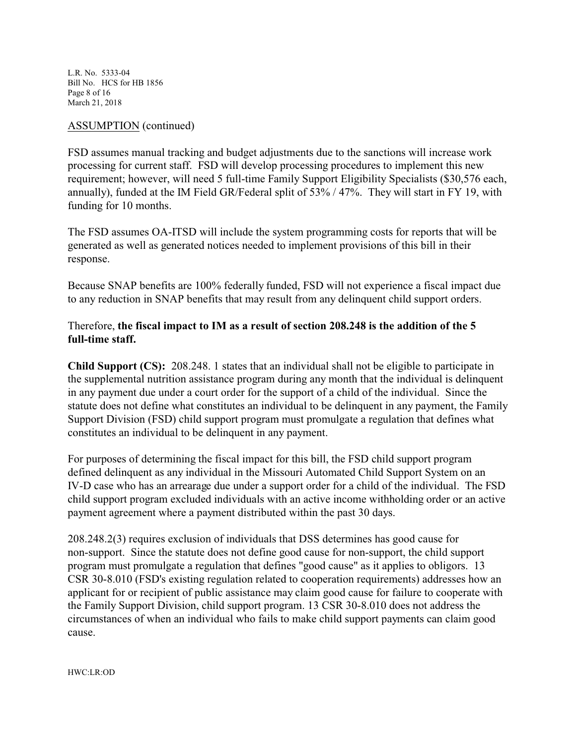L.R. No. 5333-04 Bill No. HCS for HB 1856 Page 8 of 16 March 21, 2018

#### ASSUMPTION (continued)

FSD assumes manual tracking and budget adjustments due to the sanctions will increase work processing for current staff. FSD will develop processing procedures to implement this new requirement; however, will need 5 full-time Family Support Eligibility Specialists (\$30,576 each, annually), funded at the IM Field GR/Federal split of 53% / 47%. They will start in FY 19, with funding for 10 months.

The FSD assumes OA-ITSD will include the system programming costs for reports that will be generated as well as generated notices needed to implement provisions of this bill in their response.

Because SNAP benefits are 100% federally funded, FSD will not experience a fiscal impact due to any reduction in SNAP benefits that may result from any delinquent child support orders.

## Therefore, **the fiscal impact to IM as a result of section 208.248 is the addition of the 5 full-time staff.**

**Child Support (CS):** 208.248. 1 states that an individual shall not be eligible to participate in the supplemental nutrition assistance program during any month that the individual is delinquent in any payment due under a court order for the support of a child of the individual. Since the statute does not define what constitutes an individual to be delinquent in any payment, the Family Support Division (FSD) child support program must promulgate a regulation that defines what constitutes an individual to be delinquent in any payment.

For purposes of determining the fiscal impact for this bill, the FSD child support program defined delinquent as any individual in the Missouri Automated Child Support System on an IV-D case who has an arrearage due under a support order for a child of the individual. The FSD child support program excluded individuals with an active income withholding order or an active payment agreement where a payment distributed within the past 30 days.

208.248.2(3) requires exclusion of individuals that DSS determines has good cause for non-support. Since the statute does not define good cause for non-support, the child support program must promulgate a regulation that defines "good cause" as it applies to obligors. 13 CSR 30-8.010 (FSD's existing regulation related to cooperation requirements) addresses how an applicant for or recipient of public assistance may claim good cause for failure to cooperate with the Family Support Division, child support program. 13 CSR 30-8.010 does not address the circumstances of when an individual who fails to make child support payments can claim good cause.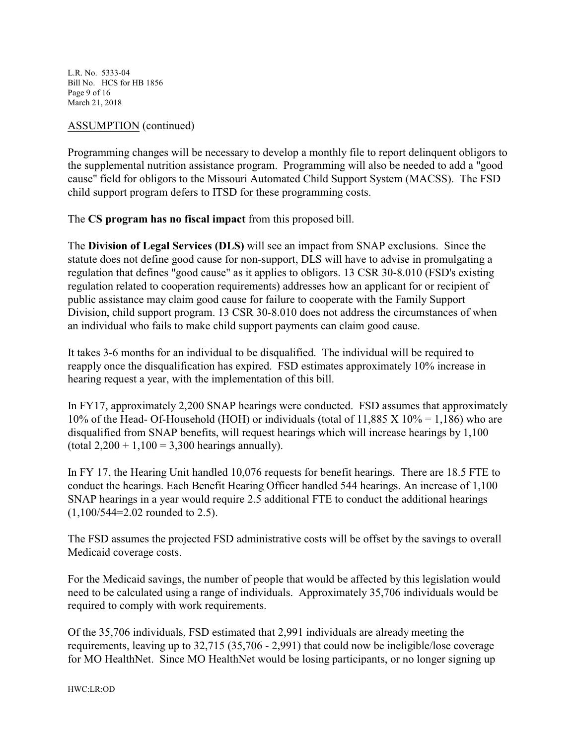L.R. No. 5333-04 Bill No. HCS for HB 1856 Page 9 of 16 March 21, 2018

#### ASSUMPTION (continued)

Programming changes will be necessary to develop a monthly file to report delinquent obligors to the supplemental nutrition assistance program. Programming will also be needed to add a "good cause" field for obligors to the Missouri Automated Child Support System (MACSS). The FSD child support program defers to ITSD for these programming costs.

The **CS program has no fiscal impact** from this proposed bill.

The **Division of Legal Services (DLS)** will see an impact from SNAP exclusions. Since the statute does not define good cause for non-support, DLS will have to advise in promulgating a regulation that defines "good cause" as it applies to obligors. 13 CSR 30-8.010 (FSD's existing regulation related to cooperation requirements) addresses how an applicant for or recipient of public assistance may claim good cause for failure to cooperate with the Family Support Division, child support program. 13 CSR 30-8.010 does not address the circumstances of when an individual who fails to make child support payments can claim good cause.

It takes 3-6 months for an individual to be disqualified. The individual will be required to reapply once the disqualification has expired. FSD estimates approximately 10% increase in hearing request a year, with the implementation of this bill.

In FY17, approximately 2,200 SNAP hearings were conducted. FSD assumes that approximately 10% of the Head- Of-Household (HOH) or individuals (total of  $11,885$  X  $10\% = 1,186$ ) who are disqualified from SNAP benefits, will request hearings which will increase hearings by 1,100 (total  $2,200 + 1,100 = 3,300$  hearings annually).

In FY 17, the Hearing Unit handled 10,076 requests for benefit hearings. There are 18.5 FTE to conduct the hearings. Each Benefit Hearing Officer handled 544 hearings. An increase of 1,100 SNAP hearings in a year would require 2.5 additional FTE to conduct the additional hearings (1,100/544=2.02 rounded to 2.5).

The FSD assumes the projected FSD administrative costs will be offset by the savings to overall Medicaid coverage costs.

For the Medicaid savings, the number of people that would be affected by this legislation would need to be calculated using a range of individuals. Approximately 35,706 individuals would be required to comply with work requirements.

Of the 35,706 individuals, FSD estimated that 2,991 individuals are already meeting the requirements, leaving up to 32,715 (35,706 - 2,991) that could now be ineligible/lose coverage for MO HealthNet. Since MO HealthNet would be losing participants, or no longer signing up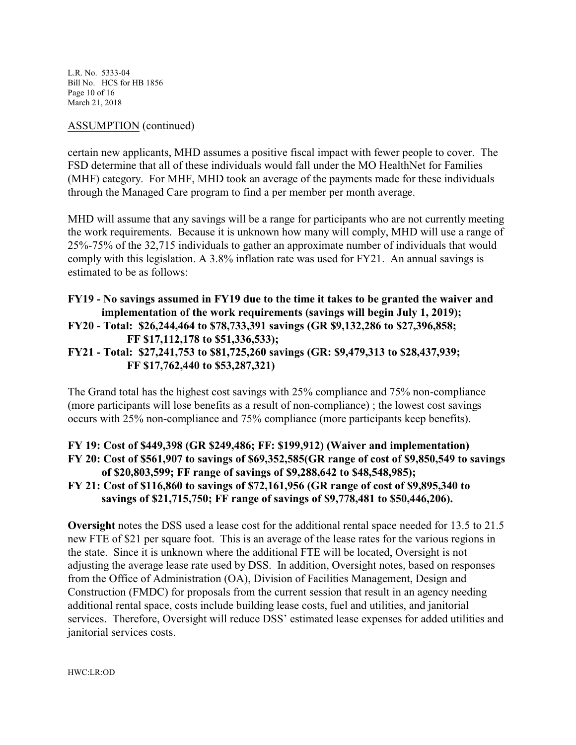L.R. No. 5333-04 Bill No. HCS for HB 1856 Page 10 of 16 March 21, 2018

#### ASSUMPTION (continued)

certain new applicants, MHD assumes a positive fiscal impact with fewer people to cover. The FSD determine that all of these individuals would fall under the MO HealthNet for Families (MHF) category. For MHF, MHD took an average of the payments made for these individuals through the Managed Care program to find a per member per month average.

MHD will assume that any savings will be a range for participants who are not currently meeting the work requirements. Because it is unknown how many will comply, MHD will use a range of 25%-75% of the 32,715 individuals to gather an approximate number of individuals that would comply with this legislation. A 3.8% inflation rate was used for FY21. An annual savings is estimated to be as follows:

## **FY19 - No savings assumed in FY19 due to the time it takes to be granted the waiver and implementation of the work requirements (savings will begin July 1, 2019); FY20 - Total: \$26,244,464 to \$78,733,391 savings (GR \$9,132,286 to \$27,396,858; FF \$17,112,178 to \$51,336,533); FY21 - Total: \$27,241,753 to \$81,725,260 savings (GR: \$9,479,313 to \$28,437,939;**

# **FF \$17,762,440 to \$53,287,321)**

The Grand total has the highest cost savings with 25% compliance and 75% non-compliance (more participants will lose benefits as a result of non-compliance) ; the lowest cost savings occurs with 25% non-compliance and 75% compliance (more participants keep benefits).

## **FY 19: Cost of \$449,398 (GR \$249,486; FF: \$199,912) (Waiver and implementation) FY 20: Cost of \$561,907 to savings of \$69,352,585(GR range of cost of \$9,850,549 to savings of \$20,803,599; FF range of savings of \$9,288,642 to \$48,548,985); FY 21: Cost of \$116,860 to savings of \$72,161,956 (GR range of cost of \$9,895,340 to savings of \$21,715,750; FF range of savings of \$9,778,481 to \$50,446,206).**

**Oversight** notes the DSS used a lease cost for the additional rental space needed for 13.5 to 21.5 new FTE of \$21 per square foot. This is an average of the lease rates for the various regions in the state. Since it is unknown where the additional FTE will be located, Oversight is not adjusting the average lease rate used by DSS. In addition, Oversight notes, based on responses from the Office of Administration (OA), Division of Facilities Management, Design and Construction (FMDC) for proposals from the current session that result in an agency needing additional rental space, costs include building lease costs, fuel and utilities, and janitorial services. Therefore, Oversight will reduce DSS' estimated lease expenses for added utilities and janitorial services costs.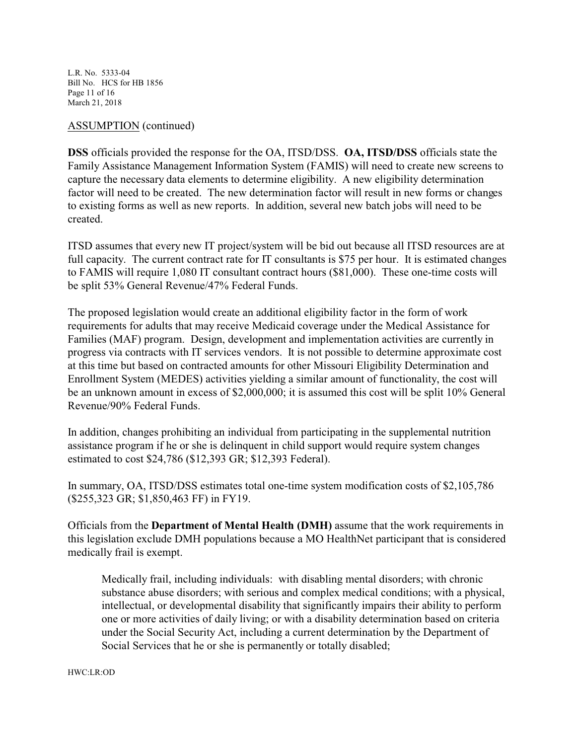L.R. No. 5333-04 Bill No. HCS for HB 1856 Page 11 of 16 March 21, 2018

#### ASSUMPTION (continued)

**DSS** officials provided the response for the OA, ITSD/DSS. **OA, ITSD/DSS** officials state the Family Assistance Management Information System (FAMIS) will need to create new screens to capture the necessary data elements to determine eligibility. A new eligibility determination factor will need to be created. The new determination factor will result in new forms or changes to existing forms as well as new reports. In addition, several new batch jobs will need to be created.

ITSD assumes that every new IT project/system will be bid out because all ITSD resources are at full capacity. The current contract rate for IT consultants is \$75 per hour. It is estimated changes to FAMIS will require 1,080 IT consultant contract hours (\$81,000). These one-time costs will be split 53% General Revenue/47% Federal Funds.

The proposed legislation would create an additional eligibility factor in the form of work requirements for adults that may receive Medicaid coverage under the Medical Assistance for Families (MAF) program. Design, development and implementation activities are currently in progress via contracts with IT services vendors. It is not possible to determine approximate cost at this time but based on contracted amounts for other Missouri Eligibility Determination and Enrollment System (MEDES) activities yielding a similar amount of functionality, the cost will be an unknown amount in excess of \$2,000,000; it is assumed this cost will be split 10% General Revenue/90% Federal Funds.

In addition, changes prohibiting an individual from participating in the supplemental nutrition assistance program if he or she is delinquent in child support would require system changes estimated to cost \$24,786 (\$12,393 GR; \$12,393 Federal).

In summary, OA, ITSD/DSS estimates total one-time system modification costs of \$2,105,786 (\$255,323 GR; \$1,850,463 FF) in FY19.

Officials from the **Department of Mental Health (DMH)** assume that the work requirements in this legislation exclude DMH populations because a MO HealthNet participant that is considered medically frail is exempt.

Medically frail, including individuals: with disabling mental disorders; with chronic substance abuse disorders; with serious and complex medical conditions; with a physical, intellectual, or developmental disability that significantly impairs their ability to perform one or more activities of daily living; or with a disability determination based on criteria under the Social Security Act, including a current determination by the Department of Social Services that he or she is permanently or totally disabled;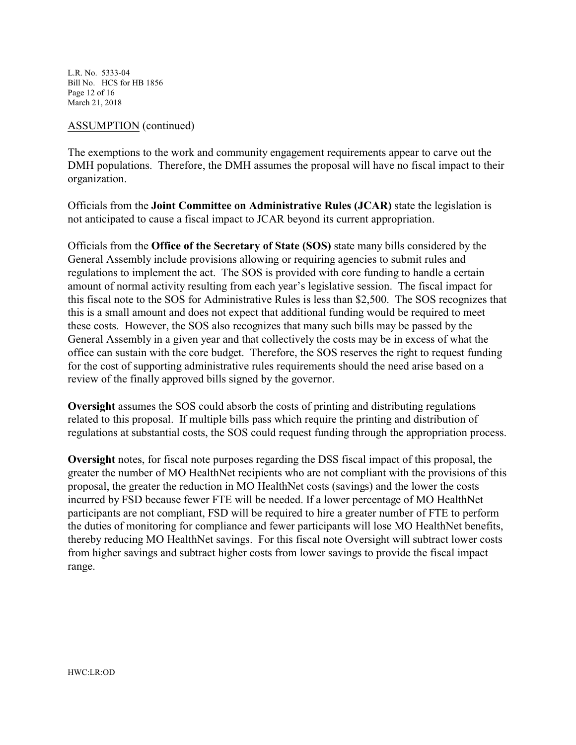L.R. No. 5333-04 Bill No. HCS for HB 1856 Page 12 of 16 March 21, 2018

#### ASSUMPTION (continued)

The exemptions to the work and community engagement requirements appear to carve out the DMH populations. Therefore, the DMH assumes the proposal will have no fiscal impact to their organization.

Officials from the **Joint Committee on Administrative Rules (JCAR)** state the legislation is not anticipated to cause a fiscal impact to JCAR beyond its current appropriation.

Officials from the **Office of the Secretary of State (SOS)** state many bills considered by the General Assembly include provisions allowing or requiring agencies to submit rules and regulations to implement the act. The SOS is provided with core funding to handle a certain amount of normal activity resulting from each year's legislative session. The fiscal impact for this fiscal note to the SOS for Administrative Rules is less than \$2,500. The SOS recognizes that this is a small amount and does not expect that additional funding would be required to meet these costs. However, the SOS also recognizes that many such bills may be passed by the General Assembly in a given year and that collectively the costs may be in excess of what the office can sustain with the core budget. Therefore, the SOS reserves the right to request funding for the cost of supporting administrative rules requirements should the need arise based on a review of the finally approved bills signed by the governor.

**Oversight** assumes the SOS could absorb the costs of printing and distributing regulations related to this proposal. If multiple bills pass which require the printing and distribution of regulations at substantial costs, the SOS could request funding through the appropriation process.

**Oversight** notes, for fiscal note purposes regarding the DSS fiscal impact of this proposal, the greater the number of MO HealthNet recipients who are not compliant with the provisions of this proposal, the greater the reduction in MO HealthNet costs (savings) and the lower the costs incurred by FSD because fewer FTE will be needed. If a lower percentage of MO HealthNet participants are not compliant, FSD will be required to hire a greater number of FTE to perform the duties of monitoring for compliance and fewer participants will lose MO HealthNet benefits, thereby reducing MO HealthNet savings. For this fiscal note Oversight will subtract lower costs from higher savings and subtract higher costs from lower savings to provide the fiscal impact range.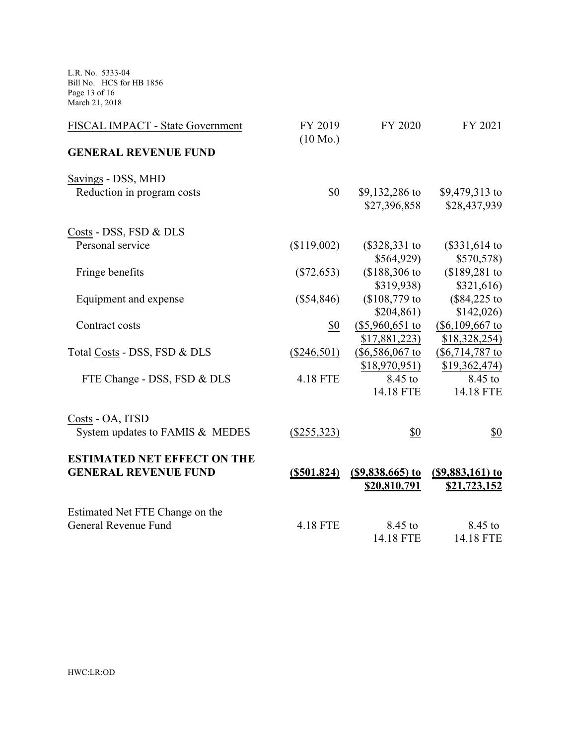L.R. No. 5333-04 Bill No. HCS for HB 1856 Page 13 of 16 March 21, 2018

| FISCAL IMPACT - State Government   | FY 2019<br>$(10 \text{ Mo.})$ | FY 2020             | FY 2021               |
|------------------------------------|-------------------------------|---------------------|-----------------------|
| <b>GENERAL REVENUE FUND</b>        |                               |                     |                       |
| Savings - DSS, MHD                 |                               |                     |                       |
| Reduction in program costs         | \$0                           | \$9,132,286 to      | \$9,479,313 to        |
|                                    |                               | \$27,396,858        | \$28,437,939          |
| Costs - DSS, FSD & DLS             |                               |                     |                       |
| Personal service                   | (\$119,002)                   | $(\$328,331$ to     | $($331,614$ to        |
|                                    |                               | \$564,929           | \$570,578             |
| Fringe benefits                    | $(\$72,653)$                  | $$188,306$ to       | $$189,281$ to         |
|                                    |                               | \$319,938)          | \$321,616             |
| Equipment and expense              | $(\$54,846)$                  | $($108,779$$ to     | $($84,225 \text{ to}$ |
|                                    |                               | \$204,861)          | \$142,026             |
| Contract costs                     | \$0                           | $(\$5,960,651$ to   | $(\$6,109,667$ to     |
|                                    |                               | \$17,881,223        | \$18,328,254)         |
| Total Costs - DSS, FSD & DLS       | $(\$246,501)$                 | $(\$6,586,067$ to   | $(\$6,714,787$ to     |
|                                    |                               | $$18,970,951$ )     | \$19,362,474)         |
| FTE Change - DSS, FSD & DLS        | 4.18 FTE                      | 8.45 to             | 8.45 to               |
|                                    |                               | 14.18 FTE           | 14.18 FTE             |
| Costs - OA, ITSD                   |                               |                     |                       |
| System updates to FAMIS & MEDES    | $(\$255,323)$                 | \$0                 | \$0                   |
| <b>ESTIMATED NET EFFECT ON THE</b> |                               |                     |                       |
| <b>GENERAL REVENUE FUND</b>        | $($ \$501,824)                | $($ \$9,838,665) to | $($ \$9,883,161) to   |
|                                    |                               | <u>\$20,810,791</u> | \$21,723,152          |
| Estimated Net FTE Change on the    |                               |                     |                       |
| General Revenue Fund               | 4.18 FTE                      | 8.45 to             | 8.45 to               |
|                                    |                               | 14.18 FTE           | 14.18 FTE             |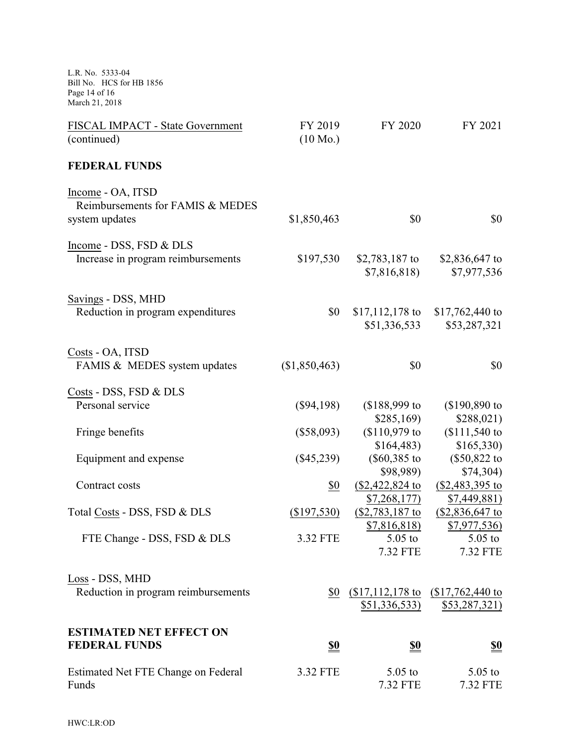L.R. No. 5333-04 Bill No. HCS for HB 1856 Page 14 of 16 March 21, 2018 FISCAL IMPACT - State Government (continued) FY 2019 (10 Mo.) FY 2020 FY 2021 **FEDERAL FUNDS** Income - OA, ITSD Reimbursements for FAMIS & MEDES system updates \$1,850,463 \$0 \$0 Income - DSS, FSD & DLS Increase in program reimbursements \$197,530 \$2,783,187 to \$7,816,818) \$2,836,647 to \$7,977,536 Savings - DSS, MHD Reduction in program expenditures \$0 \$17,112,178 to \$51,336,533 \$17,762,440 to \$53,287,321 Costs - OA, ITSD FAMIS & MEDES system updates  $($1,850,463)$   $$0$   $$0$ Costs - DSS, FSD & DLS Personal service (\$94,198) (\$188,999 to \$285,169) (\$190,890 to \$288,021) Fringe benefits (\$58,093) (\$110,979 to \$164,483) (\$111,540 to \$165,330) Equipment and expense (\$45,239) (\$60,385 to \$98,989) (\$50,822 to \$74,304)  $\text{Contract costs}$  \$0 (\$2,422,824 to \$7,268,177) (\$2,483,395 to \$7,449,881) Total Costs - DSS, FSD & DLS (\$197,530) (\$2,783,187 to \$7,816,818) (\$2,836,647 to \$7,977,536) FTE Change - DSS, FSD & DLS 3.32 FTE 5.05 to 7.32 FTE 5.05 to 7.32 FTE Loss - DSS, MHD Reduction in program reimbursements \$51,336,533) \$0 (\$17,112,178 to (\$17,762,440 to \$53,287,321) **ESTIMATED NET EFFECT ON FEDERAL FUNDS \$0 \$0 \$0** Estimated Net FTE Change on Federal Funds 3.32 FTE 5.05 to 7.32 FTE 5.05 to 7.32 FTE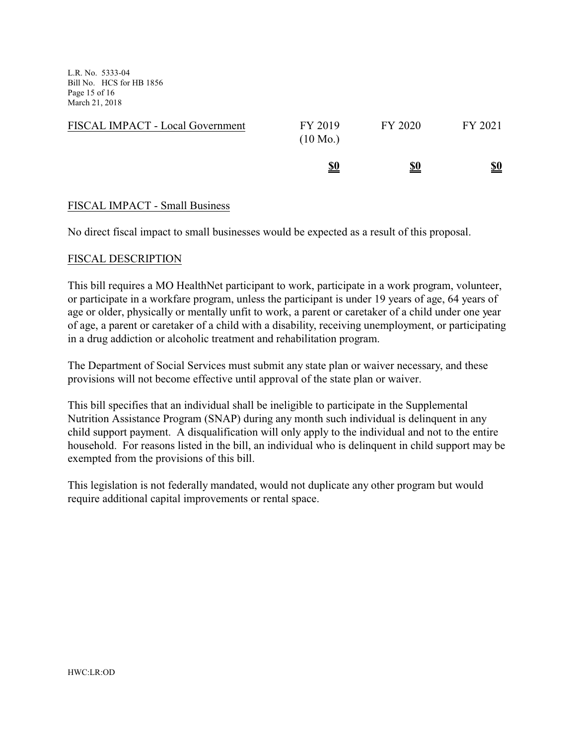L.R. No. 5333-04 Bill No. HCS for HB 1856 Page 15 of 16 March 21, 2018

| FISCAL IMPACT - Local Government | FY 2019<br>$(10 \text{ Mo.})$ | FY 2020    | FY 2021    |
|----------------------------------|-------------------------------|------------|------------|
|                                  | <u>\$0</u>                    | <u>\$0</u> | <u>\$0</u> |

#### FISCAL IMPACT - Small Business

No direct fiscal impact to small businesses would be expected as a result of this proposal.

#### FISCAL DESCRIPTION

This bill requires a MO HealthNet participant to work, participate in a work program, volunteer, or participate in a workfare program, unless the participant is under 19 years of age, 64 years of age or older, physically or mentally unfit to work, a parent or caretaker of a child under one year of age, a parent or caretaker of a child with a disability, receiving unemployment, or participating in a drug addiction or alcoholic treatment and rehabilitation program.

The Department of Social Services must submit any state plan or waiver necessary, and these provisions will not become effective until approval of the state plan or waiver.

This bill specifies that an individual shall be ineligible to participate in the Supplemental Nutrition Assistance Program (SNAP) during any month such individual is delinquent in any child support payment. A disqualification will only apply to the individual and not to the entire household. For reasons listed in the bill, an individual who is delinquent in child support may be exempted from the provisions of this bill.

This legislation is not federally mandated, would not duplicate any other program but would require additional capital improvements or rental space.